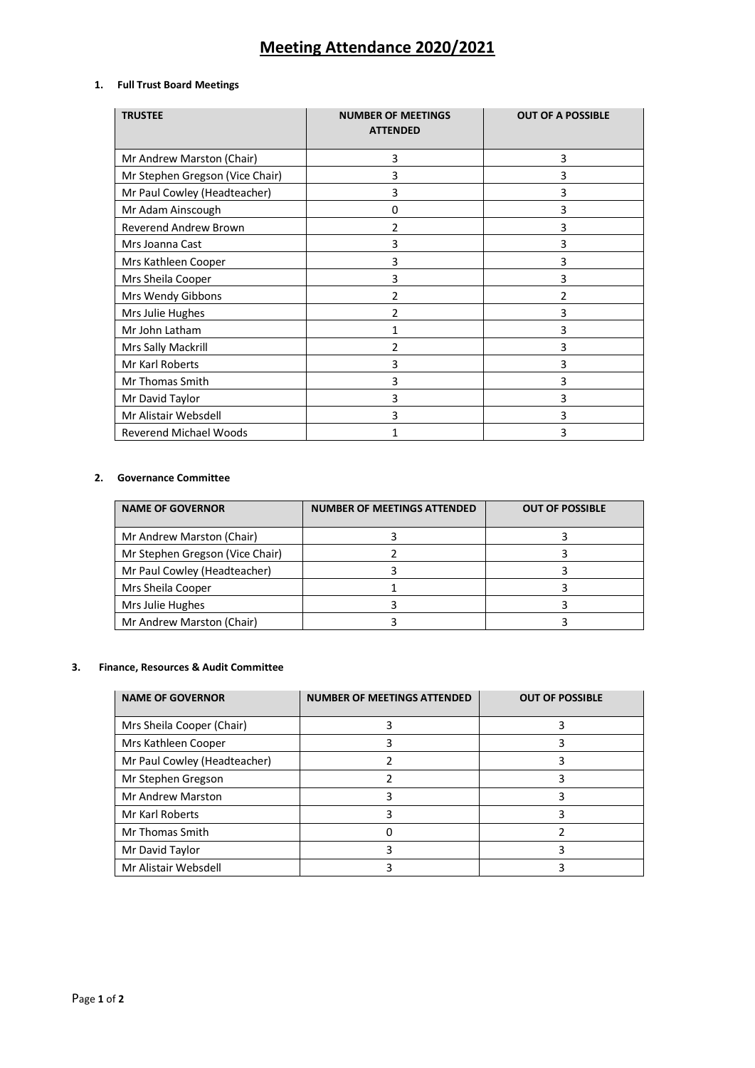# **Meeting Attendance 2020/2021**

## **1. Full Trust Board Meetings**

| <b>TRUSTEE</b>                  | <b>NUMBER OF MEETINGS</b><br><b>ATTENDED</b> | <b>OUT OF A POSSIBLE</b> |
|---------------------------------|----------------------------------------------|--------------------------|
| Mr Andrew Marston (Chair)       | 3                                            | 3                        |
| Mr Stephen Gregson (Vice Chair) | 3                                            | 3                        |
| Mr Paul Cowley (Headteacher)    | 3                                            | 3                        |
| Mr Adam Ainscough               | 0                                            | 3                        |
| <b>Reverend Andrew Brown</b>    | 2                                            | 3                        |
| Mrs Joanna Cast                 | 3                                            | 3                        |
| Mrs Kathleen Cooper             | 3                                            | 3                        |
| Mrs Sheila Cooper               | 3                                            | 3                        |
| Mrs Wendy Gibbons               | $\overline{2}$                               | 2                        |
| Mrs Julie Hughes                | 2                                            | 3                        |
| Mr John Latham                  | 1                                            | 3                        |
| Mrs Sally Mackrill              | 2                                            | 3                        |
| Mr Karl Roberts                 | 3                                            | 3                        |
| Mr Thomas Smith                 | 3                                            | 3                        |
| Mr David Taylor                 | 3                                            | 3                        |
| Mr Alistair Websdell            | 3                                            | 3                        |
| <b>Reverend Michael Woods</b>   | 1                                            | 3                        |

#### **2. Governance Committee**

| <b>NAME OF GOVERNOR</b>         | <b>NUMBER OF MEETINGS ATTENDED</b> | <b>OUT OF POSSIBLE</b> |
|---------------------------------|------------------------------------|------------------------|
| Mr Andrew Marston (Chair)       |                                    |                        |
| Mr Stephen Gregson (Vice Chair) |                                    |                        |
| Mr Paul Cowley (Headteacher)    |                                    |                        |
| Mrs Sheila Cooper               |                                    |                        |
| Mrs Julie Hughes                |                                    |                        |
| Mr Andrew Marston (Chair)       |                                    |                        |

## **3. Finance, Resources & Audit Committee**

| <b>NAME OF GOVERNOR</b>      | <b>NUMBER OF MEETINGS ATTENDED</b> | <b>OUT OF POSSIBLE</b> |
|------------------------------|------------------------------------|------------------------|
| Mrs Sheila Cooper (Chair)    |                                    |                        |
| Mrs Kathleen Cooper          |                                    |                        |
| Mr Paul Cowley (Headteacher) |                                    |                        |
| Mr Stephen Gregson           |                                    |                        |
| Mr Andrew Marston            |                                    |                        |
| Mr Karl Roberts              |                                    |                        |
| Mr Thomas Smith              |                                    |                        |
| Mr David Taylor              |                                    |                        |
| Mr Alistair Websdell         |                                    |                        |